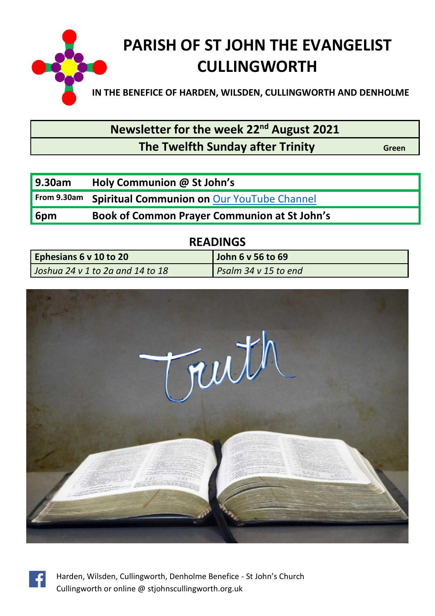

**Newsletter for the week 22nd August 2021**

## **The Twelfth Sunday after Trinity Green**

| <b>9.30am</b> | Holy Communion @ St John's                          |
|---------------|-----------------------------------------------------|
| From 9.30am   | <b>Spiritual Communion on Our YouTube Channel</b>   |
| 6pm           | <b>Book of Common Prayer Communion at St John's</b> |

| <b>READINGS</b>                  |                      |  |  |  |
|----------------------------------|----------------------|--|--|--|
| Ephesians 6 v 10 to 20           | John 6 v 56 to 69    |  |  |  |
| Joshua 24 v 1 to 2a and 14 to 18 | Psalm 34 v 15 to end |  |  |  |

**READINGS**



![](_page_0_Picture_7.jpeg)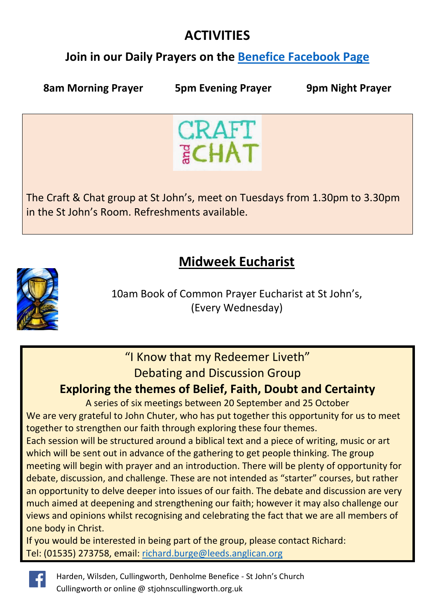## **ACTIVITIES**

## **Join in our Daily Prayers on the [Benefice Facebook Page](https://www.facebook.com/Harden-Wilsden-Cullingworth-Denholme-Benefice)**

**8am Morning Prayer 5pm Evening Prayer 9pm Night Prayer**

![](_page_1_Picture_5.jpeg)

The Craft & Chat group at St John's, meet on Tuesdays from 1.30pm to 3.30pm in the St John's Room. Refreshments available.

## **Midweek Eucharist**

![](_page_1_Picture_8.jpeg)

10am Book of Common Prayer Eucharist at St John's, (Every Wednesday)

# "I Know that my Redeemer Liveth"

### Debating and Discussion Group

### **Exploring the themes of Belief, Faith, Doubt and Certainty**

A series of six meetings between 20 September and 25 October We are very grateful to John Chuter, who has put together this opportunity for us to meet together to strengthen our faith through exploring these four themes.

Each session will be structured around a biblical text and a piece of writing, music or art which will be sent out in advance of the gathering to get people thinking. The group meeting will begin with prayer and an introduction. There will be plenty of opportunity for debate, discussion, and challenge. These are not intended as "starter" courses, but rather an opportunity to delve deeper into issues of our faith. The debate and discussion are very much aimed at deepening and strengthening our faith; however it may also challenge our views and opinions whilst recognising and celebrating the fact that we are all members of one body in Christ.

If you would be interested in being part of the group, please contact Richard: Tel: (01535) 273758, email: [richard.burge@leeds.anglican.org](file:///C:/Users/John%20Chuter/AppData/Local/Microsoft/Windows/INetCache/Content.Outlook/O777GM6B/richard.burge@leeds.anglican.org)

![](_page_1_Picture_16.jpeg)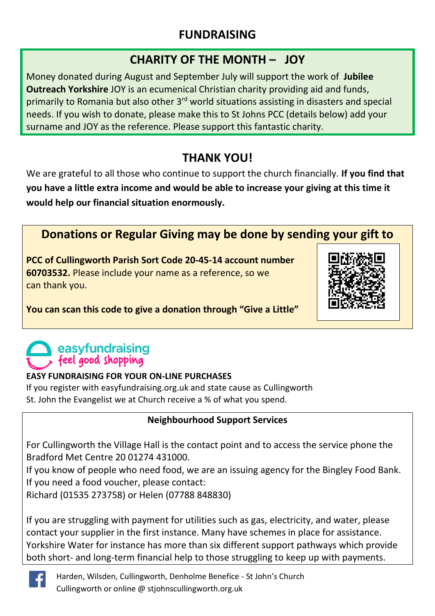### **FUNDRAISING**

### **CHARITY OF THE MONTH – JOY**

Money donated during August and September July will support the work of **Jubilee Outreach Yorkshire** JOY is an ecumenical Christian charity providing aid and funds, primarily to Romania but also other 3rd world situations assisting in disasters and special needs. If you wish to donate, please make this to St Johns PCC (details below) add your surname and JOY as the reference. Please support this fantastic charity.

## **THANK YOU!**

We are grateful to all those who continue to support the church financially. **If you find that you have a little extra income and would be able to increase your giving at this time it would help our financial situation enormously.**

## **Donations or Regular Giving may be done by sending your gift to**

**PCC of Cullingworth Parish Sort Code 20-45-14 account number 60703532.** Please include your name as a reference, so we can thank you.

![](_page_2_Picture_7.jpeg)

**You can scan this code to give a donation through "Give a Little"**

## easyfundraising feel good shopping

#### **EASY FUNDRAISING FOR YOUR ON-LINE PURCHASES**

If you register with easyfundraising.org.uk and state cause as Cullingworth St. John the Evangelist we at Church receive a % of what you spend.

#### **Neighbourhood Support Services**

For Cullingworth the Village Hall is the contact point and to access the service phone the Bradford Met Centre 20 01274 431000.

If you know of people who need food, we are an issuing agency for the Bingley Food Bank. If you need a food voucher, please contact:

Richard (01535 273758) or Helen (07788 848830)

If you are struggling with payment for utilities such as gas, electricity, and water, please contact your supplier in the first instance. Many have schemes in place for assistance. Yorkshire Water for instance has more than six different support pathways which provide both short- and long-term financial help to those struggling to keep up with payments.